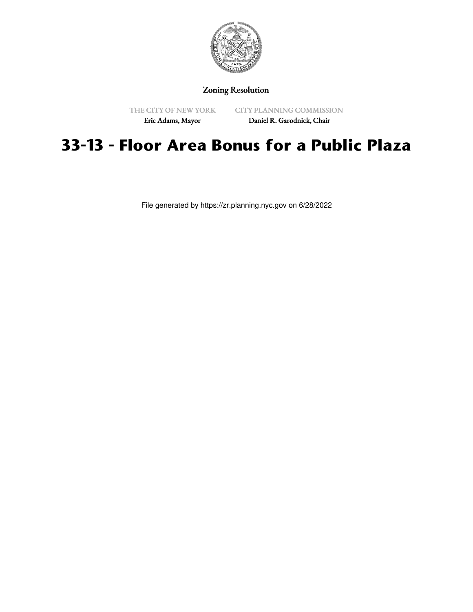

Zoning Resolution

THE CITY OF NEW YORK

CITY PLANNING COMMISSION

Eric Adams, Mayor

Daniel R. Garodnick, Chair

## **33-13 - Floor Area Bonus for a Public Plaza**

File generated by https://zr.planning.nyc.gov on 6/28/2022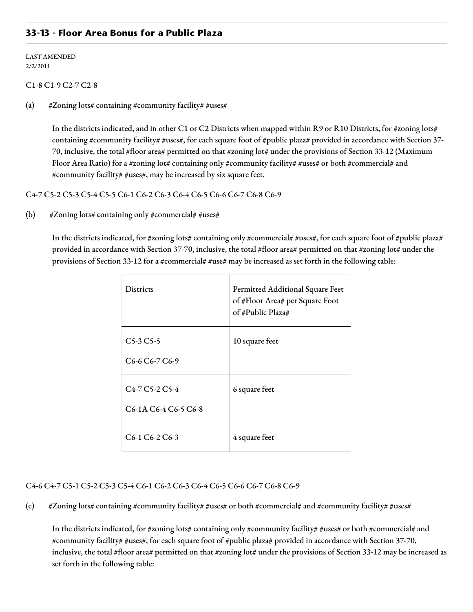## **33-13 - Floor Area Bonus for a Public Plaza**

LAST AMENDED 2/2/2011

## C1-8 C1-9 C2-7 C2-8

(a)  $\# \text{Zoning}$  lots# containing #community facility# #uses#

In the districts indicated, and in other C1 or C2 Districts when mapped within R9 or R10 Districts, for #zoning lots# containing #community facility# #uses#, for each square foot of #public plaza# provided in accordance with Section 37-70, inclusive, the total #floor area# permitted on that #zoning lot# under the provisions of Section 33-12 (Maximum Floor Area Ratio) for a #zoning lot# containing only #community facility# #uses# or both #commercial# and #community facility# #uses#, may be increased by six square feet.

C4-7 C5-2 C5-3 C5-4 C5-5 C6-1 C6-2 C6-3 C6-4 C6-5 C6-6 C6-7 C6-8 C6-9

(b)  $\# \text{Zoning}$  lots# containing only #commercial# #uses#

In the districts indicated, for #zoning lots# containing only #commercial# #uses#, for each square foot of #public plaza# provided in accordance with Section 37-70, inclusive, the total #floor area# permitted on that #zoning lot# under the provisions of Section 33-12 for a #commercial# #use# may be increased as set forth in the following table:

| <b>Districts</b>                                                                           | Permitted Additional Square Feet<br>of #Floor Area# per Square Foot<br>of #Public Plaza# |
|--------------------------------------------------------------------------------------------|------------------------------------------------------------------------------------------|
| $C5-3C5-5$<br>C <sub>6</sub> -6 C <sub>6</sub> -7 C <sub>6</sub> -9                        | 10 square feet                                                                           |
| $C4-7C5-2C5-4$<br>C <sub>6</sub> -1A C <sub>6</sub> -4 C <sub>6</sub> -5 C <sub>6</sub> -8 | 6 square feet                                                                            |
| C6-1 C6-2 C6-3                                                                             | 4 square feet                                                                            |

## C4-6 C4-7 C5-1 C5-2 C5-3 C5-4 C6-1 C6-2 C6-3 C6-4 C6-5 C6-6 C6-7 C6-8 C6-9

(c) #Zoning lots# containing #community facility# #uses# or both #commercial# and #community facility# #uses#

In the districts indicated, for #zoning lots# containing only #community facility# #uses# or both #commercial# and #community facility# #uses#, for each square foot of #public plaza# provided in accordance with Section 37-70, inclusive, the total #floor area# permitted on that #zoning lot# under the provisions of Section 33-12 may be increased as set forth in the following table: